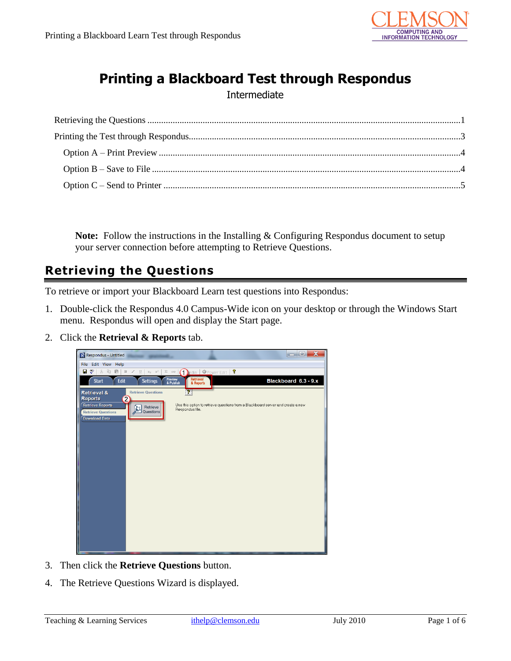

# **Printing a Blackboard Test through Respondus**

#### Intermediate

**Note:** Follow the instructions in the Installing & Configuring Respondus document to setup your server connection before attempting to Retrieve Questions.

## <span id="page-0-0"></span>**Retrieving the Questions**

To retrieve or import your Blackboard Learn test questions into Respondus:

- 1. Double-click the Respondus 4.0 Campus-Wide icon on your desktop or through the Windows Start menu. Respondus will open and display the Start page.
- 2. Click the **Retrieval & Reports** tab.



- 3. Then click the **Retrieve Questions** button.
- 4. The Retrieve Questions Wizard is displayed.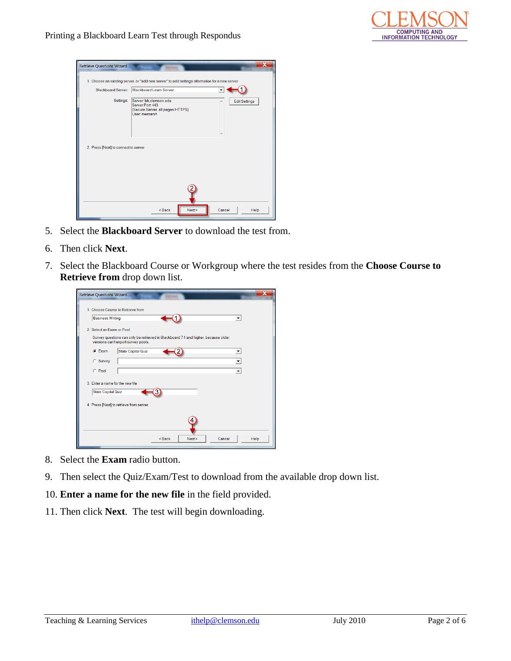

| <b>Retrieve Questions Wizard</b>     |                                                                                                                       |
|--------------------------------------|-----------------------------------------------------------------------------------------------------------------------|
|                                      | 1. Choose an existing server, or "add new server" to add settings information for a new server                        |
| Blackboard Server:                   | Blackboard Learn Server                                                                                               |
| Settings:                            | Server: bb.clemson.edu<br><b>Edit Settings</b><br>Server Port 443<br>(Secure Server, all pages HTTPS)<br>User memarsh |
| 2. Press [Next] to connect to server |                                                                                                                       |
|                                      | Next<br>$Back$<br>Cancel<br>Help                                                                                      |

- 5. Select the **Blackboard Server** to download the test from.
- 6. Then click **Next**.
- 7. Select the Blackboard Course or Workgroup where the test resides from the **Choose Course to Retrieve from** drop down list.

| <b>Retrieve Questions Wizard</b>                                                                                          |                          |
|---------------------------------------------------------------------------------------------------------------------------|--------------------------|
| 1. Choose Course to Retrieve from                                                                                         |                          |
| <b>Business Writing</b>                                                                                                   | $\overline{\phantom{0}}$ |
| 2 Select an Exam or Pool                                                                                                  |                          |
| Survey questions can only be retrieved in Blackboard 7.1 and higher, because older<br>versions can't export survey pools. |                          |
| $G$ Exam<br><b>State Capital Quiz</b>                                                                                     | ▼                        |
| C Survey                                                                                                                  | ▼                        |
| C Pool                                                                                                                    |                          |
| 3. Enter a name for the new file                                                                                          |                          |
| <b>State Capital Quiz</b>                                                                                                 |                          |
| 4. Press [Next] to retrieve from server                                                                                   |                          |
|                                                                                                                           |                          |
|                                                                                                                           |                          |
|                                                                                                                           |                          |
| <back<br>Cancel<br/>Next &gt;</back<br>                                                                                   | Help                     |
|                                                                                                                           |                          |

- 8. Select the **Exam** radio button.
- 9. Then select the Quiz/Exam/Test to download from the available drop down list.
- 10. **Enter a name for the new file** in the field provided.
- 11. Then click **Next**. The test will begin downloading.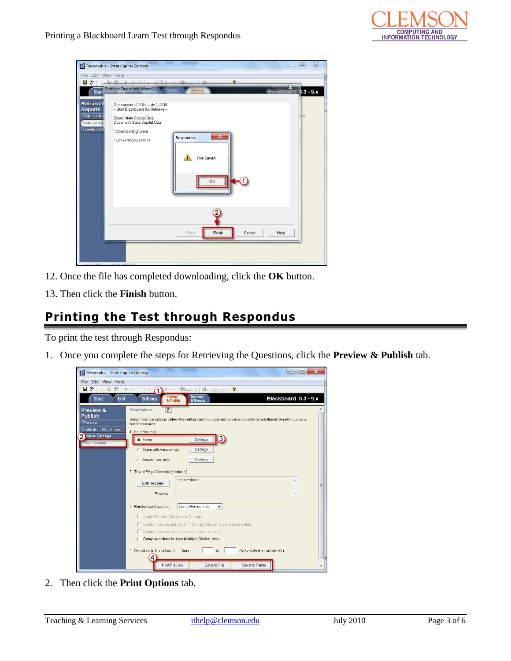

|                                                                                     | R Respondus - State Capital Quiz.rsp<br>$\equiv$                                                                                                                                                                                               | $\chi$<br>$\Box$ |
|-------------------------------------------------------------------------------------|------------------------------------------------------------------------------------------------------------------------------------------------------------------------------------------------------------------------------------------------|------------------|
| File Edit View Help                                                                 |                                                                                                                                                                                                                                                |                  |
| $\blacksquare$ $\triangledown$<br>У.                                                | $\mathbb{B} \times \mathbb{R}$ $\mid R \neq \mathbb{R}$ $\mid R$ and $\mathbb{B}$ $\mid$ $\mathbb{C}$ $\mid$ $\mid$ $\mathbb{C}$ $\mid$ $\mid$ $\mid$ $\mathbb{R}$<br>$\overline{\mathbf{x}}$                                                  |                  |
| Start                                                                               | <b>Retrieve Questions Wizard</b>                                                                                                                                                                                                               | $3 - 9x$         |
| Retrieval<br><b>Reports</b><br><b>Retrieve Re</b><br><b>Retrieve Qr</b><br>Download | Respondus 4.0.2.04 July 1, 2010<br>-- Start Blackboard 9.x Retrieve --<br>Exam: State Capital Quiz<br>Document State Capital Quiz<br>* Downloading Exam<br>$\overline{\mathbf{x}}$<br>Respondus<br>* Converting questions<br>File Saved.<br>OK | BW               |
|                                                                                     | Finish<br><back<br>Cancel<br/>Help</back<br>                                                                                                                                                                                                   |                  |
|                                                                                     |                                                                                                                                                                                                                                                |                  |

- 12. Once the file has completed downloading, click the **OK** button.
- 13. Then click the **Finish** button.

### <span id="page-2-0"></span>**Printing the Test through Respondus**

To print the test through Respondus:

1. Once you complete the steps for Retrieving the Questions, click the **Preview & Publish** tab.



2. Then click the **Print Options** tab.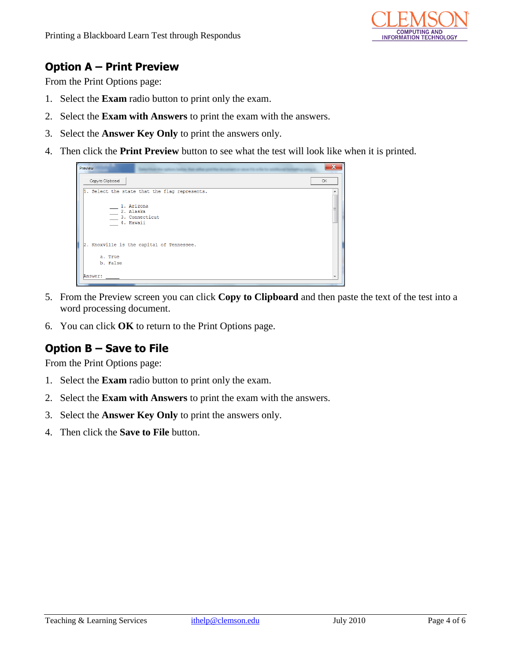

### <span id="page-3-0"></span>**Option A – Print Preview**

From the Print Options page:

- 1. Select the **Exam** radio button to print only the exam.
- 2. Select the **Exam with Answers** to print the exam with the answers.
- 3. Select the **Answer Key Only** to print the answers only.
- 4. Then click the **Print Preview** button to see what the test will look like when it is printed.



- 5. From the Preview screen you can click **Copy to Clipboard** and then paste the text of the test into a word processing document.
- 6. You can click **OK** to return to the Print Options page.

### <span id="page-3-1"></span>**Option B – Save to File**

From the Print Options page:

- 1. Select the **Exam** radio button to print only the exam.
- 2. Select the **Exam with Answers** to print the exam with the answers.
- 3. Select the **Answer Key Only** to print the answers only.
- 4. Then click the **Save to File** button.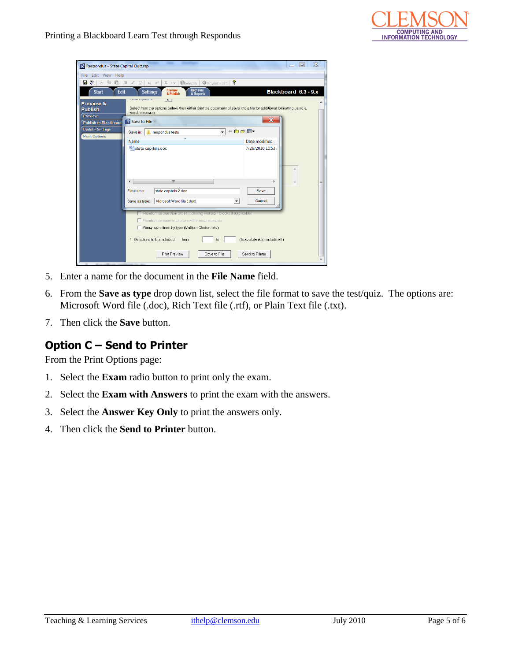

| R Respondus - State Capital Quiz.rsp          |                                                                                                                                                                      | $\Sigma$<br>$\Box$<br>$\qquad \qquad \blacksquare$ |
|-----------------------------------------------|----------------------------------------------------------------------------------------------------------------------------------------------------------------------|----------------------------------------------------|
| File Edit View Help                           |                                                                                                                                                                      |                                                    |
| ಀ<br>н<br>$\chi$<br>酯<br>矗                    | 動Media<br>ୃକ<br>$\,$ B<br>$\mathbf U$<br>$\Sigma$ <h><br/>Power Edit<br/>Ī<br/><math>X_{\mathbb{R}}</math> <math>X^{\mathbb{R}}</math></h>                           |                                                    |
| Edit<br><b>Start</b>                          | Retrieval<br><b>Preview</b><br><b>Settings</b><br>& Publish<br>& Reports                                                                                             | Blackboard 6.3 - 9.x                               |
| Preview &<br><b>Publish</b><br><b>Preview</b> | г<br>Select from the options below, then either print the document or save it to a file for additional formatting using a<br>word processor.                         |                                                    |
| <b>Publish to Blackboard</b>                  | X<br>R Save to File                                                                                                                                                  |                                                    |
| <b>Update Settings</b>                        | $+B + B$<br>respondus tests<br>Save in:                                                                                                                              |                                                    |
| <b>Print Options</b>                          | ۸<br>Name<br>Date modified                                                                                                                                           |                                                    |
|                                               | state capitals.doc<br>7/26/2010 10:53 /                                                                                                                              |                                                    |
|                                               | m                                                                                                                                                                    |                                                    |
|                                               | File name:<br>state capitals 2.doc<br>Save                                                                                                                           |                                                    |
|                                               | Microsoft Word file (.doc)<br>Cancel<br>Save as type:<br>▼                                                                                                           |                                                    |
|                                               | tandomiza quastion order (including Etandomialocks if agglicable<br>Randomize answer choices within each question<br>Group questions by type (Multiple Choice, etc.) |                                                    |
|                                               | 4. Questions to be included:<br>(leave blank to include all)<br>from<br>to                                                                                           |                                                    |
|                                               | Print Preview<br>Save to File<br>Send to Printer                                                                                                                     |                                                    |

- 5. Enter a name for the document in the **File Name** field.
- 6. From the **Save as type** drop down list, select the file format to save the test/quiz. The options are: Microsoft Word file (.doc), Rich Text file (.rtf), or Plain Text file (.txt).
- 7. Then click the **Save** button.

#### <span id="page-4-0"></span>**Option C – Send to Printer**

From the Print Options page:

- 1. Select the **Exam** radio button to print only the exam.
- 2. Select the **Exam with Answers** to print the exam with the answers.
- 3. Select the **Answer Key Only** to print the answers only.
- 4. Then click the **Send to Printer** button.